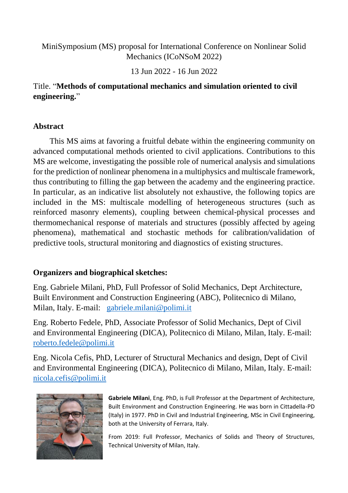## MiniSymposium (MS) proposal for International Conference on Nonlinear Solid Mechanics (ICoNSoM 2022)

13 Jun 2022 - 16 Jun 2022

## Title. "**Methods of computational mechanics and simulation oriented to civil engineering.**"

## **Abstract**

This MS aims at favoring a fruitful debate within the engineering community on advanced computational methods oriented to civil applications. Contributions to this MS are welcome, investigating the possible role of numerical analysis and simulations for the prediction of nonlinear phenomena in a multiphysics and multiscale framework, thus contributing to filling the gap between the academy and the engineering practice. In particular, as an indicative list absolutely not exhaustive, the following topics are included in the MS: multiscale modelling of heterogeneous structures (such as reinforced masonry elements), coupling between chemical-physical processes and thermomechanical response of materials and structures (possibly affected by ageing phenomena), mathematical and stochastic methods for calibration/validation of predictive tools, structural monitoring and diagnostics of existing structures.

## **Organizers and biographical sketches:**

Eng. Gabriele Milani, PhD, Full Professor of Solid Mechanics, Dept Architecture, Built Environment and Construction Engineering (ABC), Politecnico di Milano, Milan, Italy. E-mail: [gabriele.milani@polimi.it](mailto:gabriele.milani@polimi.it)

Eng. Roberto Fedele, PhD, Associate Professor of Solid Mechanics, Dept of Civil and Environmental Engineering (DICA), Politecnico di Milano, Milan, Italy. E-mail: [roberto.fedele@polimi.it](mailto:roberto.fedele@polimi.it)

Eng. Nicola Cefis, PhD, Lecturer of Structural Mechanics and design, Dept of Civil and Environmental Engineering (DICA), Politecnico di Milano, Milan, Italy. E-mail: [nicola.cefis@polimi.it](mailto:nicola.cefis@polimi.it)



**Gabriele Milani**, Eng. PhD, is Full Professor at the Department of Architecture, Built Environment and Construction Engineering. He was born in Cittadella-PD (Italy) in 1977. PhD in Civil and Industrial Engineering, MSc in Civil Engineering, both at the University of Ferrara, Italy.

From 2019: Full Professor, Mechanics of Solids and Theory of Structures, Technical University of Milan, Italy.